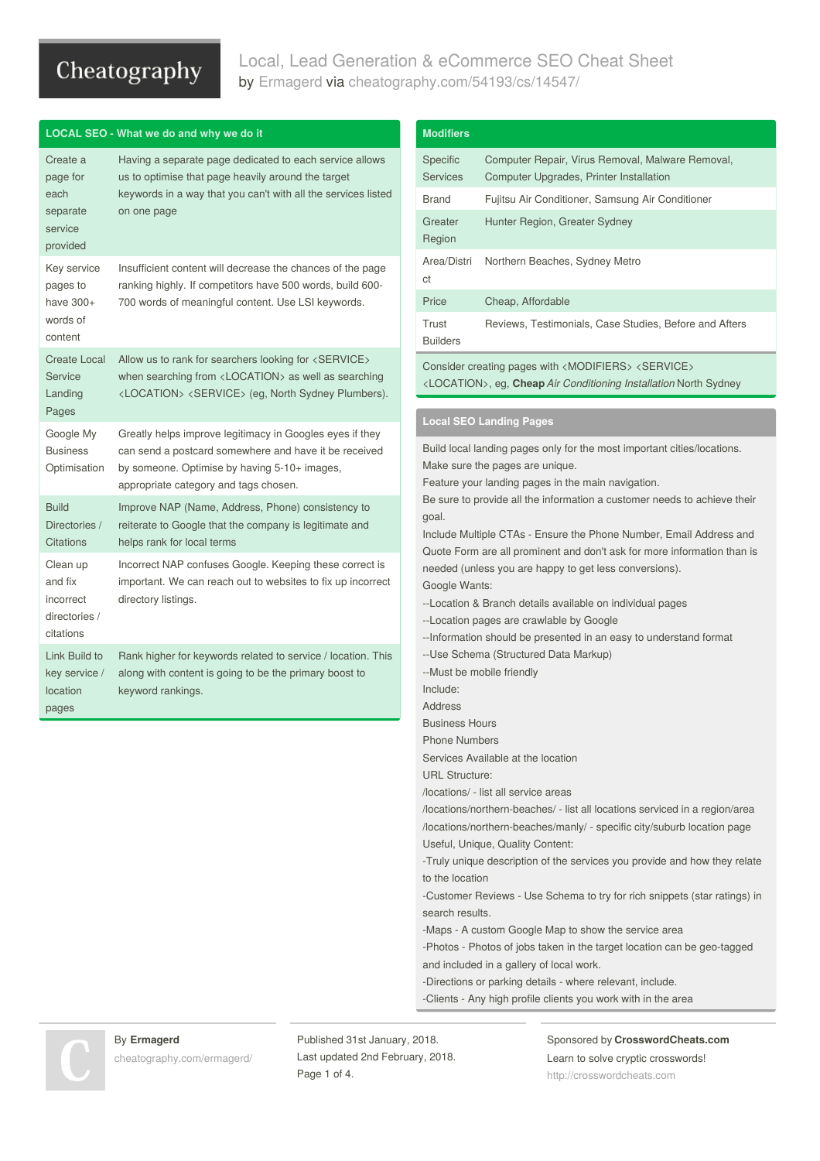# Local, Lead Generation & eCommerce SEO Cheat Sheet by [Ermagerd](http://www.cheatography.com/ermagerd/) via [cheatography.com/54193/cs/14547/](http://www.cheatography.com/ermagerd/cheat-sheets/local-lead-generation-and-ecommerce-seo)

|                                                                 | LOCAL SEO - What we do and why we do it                                                                                                                                                                                                  |
|-----------------------------------------------------------------|------------------------------------------------------------------------------------------------------------------------------------------------------------------------------------------------------------------------------------------|
| Create a<br>page for<br>each<br>separate<br>service<br>provided | Having a separate page dedicated to each service allows<br>us to optimise that page heavily around the target<br>keywords in a way that you can't with all the services listed<br>on one page                                            |
| Key service<br>pages to<br>have 300+<br>words of<br>content     | Insufficient content will decrease the chances of the page<br>ranking highly. If competitors have 500 words, build 600-<br>700 words of meaningful content. Use LSI keywords.                                                            |
| <b>Create Local</b><br>Service<br>Landing<br>Pages              | Allow us to rank for searchers looking for <service><br/>when searching from <math>\langle</math> LOCATION<math>\rangle</math> as well as searching<br/><location> <service> (eg, North Sydney Plumbers).</service></location></service> |
| Google My<br><b>Business</b><br>Optimisation                    | Greatly helps improve legitimacy in Googles eyes if they<br>can send a postcard somewhere and have it be received<br>by someone. Optimise by having 5-10+ images,<br>appropriate category and tags chosen.                               |
| <b>Build</b><br>Directories /<br><b>Citations</b>               | Improve NAP (Name, Address, Phone) consistency to<br>reiterate to Google that the company is legitimate and<br>helps rank for local terms                                                                                                |
| Clean up<br>and fix<br>incorrect<br>directories /<br>citations  | Incorrect NAP confuses Google. Keeping these correct is<br>important. We can reach out to websites to fix up incorrect<br>directory listings.                                                                                            |
| Link Build to<br>key service /<br>location<br>pages             | Rank higher for keywords related to service / location. This<br>along with content is going to be the primary boost to<br>keyword rankings.                                                                                              |

| Specific<br>Computer Repair, Virus Removal, Malware Removal,<br><b>Services</b><br>Computer Upgrades, Printer Installation |                                                                                                                                                                                                                                                                                                                                                                                                                                                              |  |  |  |  |
|----------------------------------------------------------------------------------------------------------------------------|--------------------------------------------------------------------------------------------------------------------------------------------------------------------------------------------------------------------------------------------------------------------------------------------------------------------------------------------------------------------------------------------------------------------------------------------------------------|--|--|--|--|
| <b>Brand</b>                                                                                                               | Fujitsu Air Conditioner, Samsung Air Conditioner                                                                                                                                                                                                                                                                                                                                                                                                             |  |  |  |  |
| Greater<br>Hunter Region, Greater Sydney<br>Region                                                                         |                                                                                                                                                                                                                                                                                                                                                                                                                                                              |  |  |  |  |
| Area/Distri<br>ct                                                                                                          | Northern Beaches, Sydney Metro                                                                                                                                                                                                                                                                                                                                                                                                                               |  |  |  |  |
| Price                                                                                                                      | Cheap, Affordable                                                                                                                                                                                                                                                                                                                                                                                                                                            |  |  |  |  |
| Trust<br>Reviews, Testimonials, Case Studies, Before and Afters<br><b>Builders</b>                                         |                                                                                                                                                                                                                                                                                                                                                                                                                                                              |  |  |  |  |
|                                                                                                                            | Consider creating pages with <modifiers> <service><br/><location>, eg, Cheap Air Conditioning Installation North Sydney</location></service></modifiers>                                                                                                                                                                                                                                                                                                     |  |  |  |  |
|                                                                                                                            | <b>Local SEO Landing Pages</b>                                                                                                                                                                                                                                                                                                                                                                                                                               |  |  |  |  |
|                                                                                                                            |                                                                                                                                                                                                                                                                                                                                                                                                                                                              |  |  |  |  |
| Google Wants:<br>Include:<br><b>Address</b><br><b>Business Hours</b><br><b>Phone Numbers</b>                               | Include Multiple CTAs - Ensure the Phone Number, Email Address and<br>Quote Form are all prominent and don't ask for more information than is<br>needed (unless you are happy to get less conversions).<br>--Location & Branch details available on individual pages<br>--Location pages are crawlable by Google<br>-- Information should be presented in an easy to understand format<br>--Use Schema (Structured Data Markup)<br>--Must be mobile friendly |  |  |  |  |
| <b>URL Structure:</b>                                                                                                      | Services Available at the location<br>/locations/ - list all service areas                                                                                                                                                                                                                                                                                                                                                                                   |  |  |  |  |

Useful, Unique, Quality Content:

-Truly unique description of the services you provide and how they relate to the location

-Customer Reviews - Use Schema to try for rich snippets (star ratings) in search results.

-Maps - A custom Google Map to show the service area

-Photos - Photos of jobs taken in the target location can be geo-tagged and included in a gallery of local work.

-Directions or parking details - where relevant, include.

-Clients - Any high profile clients you work with in the area

### By **Ermagerd**

[cheatography.com/ermagerd/](http://www.cheatography.com/ermagerd/)

Published 31st January, 2018. Last updated 2nd February, 2018. Page 1 of 4.

### Sponsored by **CrosswordCheats.com** Learn to solve cryptic crosswords!

<http://crosswordcheats.com>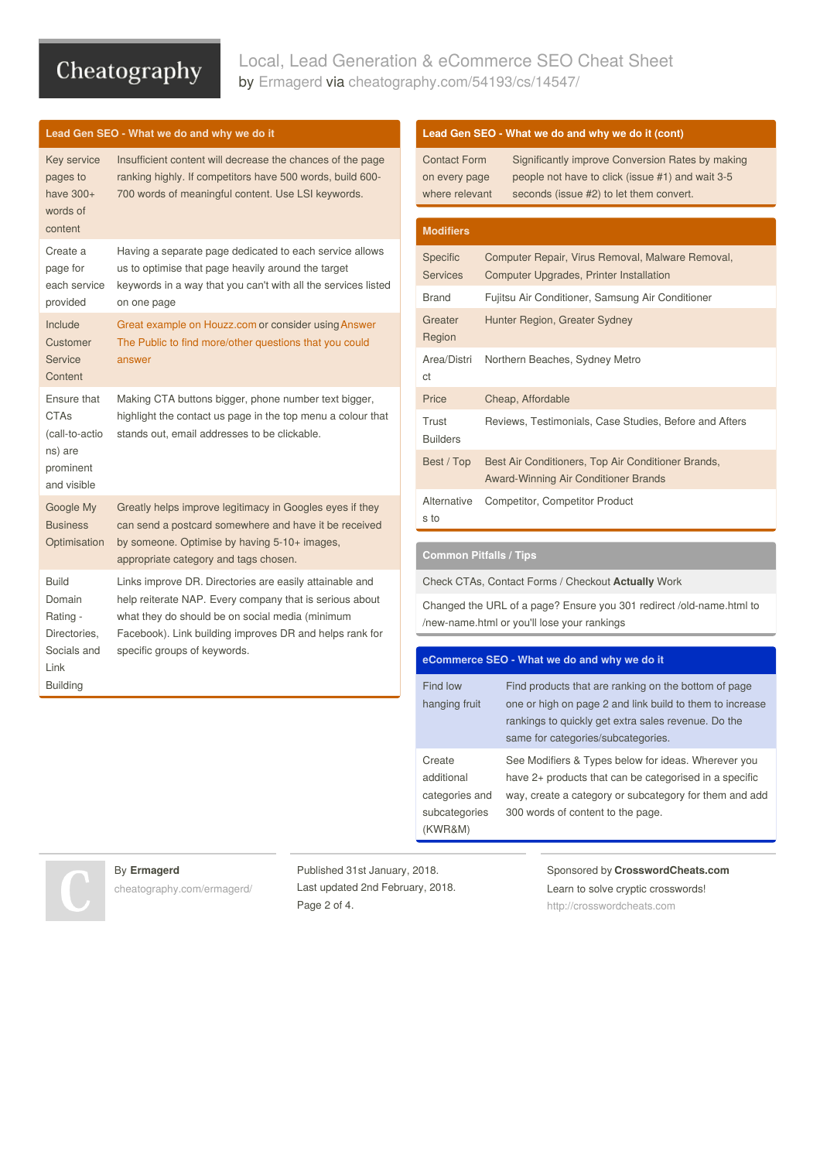## Local, Lead Generation & eCommerce SEO Cheat Sheet by [Ermagerd](http://www.cheatography.com/ermagerd/) via [cheatography.com/54193/cs/14547/](http://www.cheatography.com/ermagerd/cheat-sheets/local-lead-generation-and-ecommerce-seo)

### **Lead Gen SEO - What we do and why we do it**

| Key service<br>pages to<br>have $300+$<br>words of<br>content                         | Insufficient content will decrease the chances of the page<br>ranking highly. If competitors have 500 words, build 600-<br>700 words of meaningful content. Use LSI keywords.                                                                                    |  |  |  |  |
|---------------------------------------------------------------------------------------|------------------------------------------------------------------------------------------------------------------------------------------------------------------------------------------------------------------------------------------------------------------|--|--|--|--|
| Create a<br>page for<br>each service<br>provided                                      | Having a separate page dedicated to each service allows<br>us to optimise that page heavily around the target<br>keywords in a way that you can't with all the services listed<br>on one page                                                                    |  |  |  |  |
| Include<br>Customer<br>Service<br>Content                                             | Great example on Houzz.com or consider using Answer<br>The Public to find more/other questions that you could<br>answer                                                                                                                                          |  |  |  |  |
| Ensure that<br><b>CTAs</b><br>(call-to-actio<br>ns) are<br>prominent<br>and visible   | Making CTA buttons bigger, phone number text bigger,<br>highlight the contact us page in the top menu a colour that<br>stands out, email addresses to be clickable.                                                                                              |  |  |  |  |
| Google My<br><b>Business</b><br>Optimisation                                          | Greatly helps improve legitimacy in Googles eyes if they<br>can send a postcard somewhere and have it be received<br>by someone. Optimise by having 5-10+ images,<br>appropriate category and tags chosen.                                                       |  |  |  |  |
| Build<br>Domain<br>Rating -<br>Directories,<br>Socials and<br>Link<br><b>Building</b> | Links improve DR. Directories are easily attainable and<br>help reiterate NAP. Every company that is serious about<br>what they do should be on social media (minimum<br>Facebook). Link building improves DR and helps rank for<br>specific groups of keywords. |  |  |  |  |

### **Lead Gen SEO - What we do and why we do it (cont)**

| <b>Contact Form</b> | Significantly improve Conversion Rates by making |
|---------------------|--------------------------------------------------|
| on every page       | people not have to click (issue #1) and wait 3-5 |
| where relevant      | seconds (issue #2) to let them convert.          |

| <b>Modifiers</b>                   |                                                                                             |  |  |  |  |  |
|------------------------------------|---------------------------------------------------------------------------------------------|--|--|--|--|--|
| <b>Specific</b><br><b>Services</b> | Computer Repair, Virus Removal, Malware Removal,<br>Computer Upgrades, Printer Installation |  |  |  |  |  |
| <b>Brand</b>                       | Fujitsu Air Conditioner, Samsung Air Conditioner                                            |  |  |  |  |  |
| Greater<br>Region                  | Hunter Region, Greater Sydney                                                               |  |  |  |  |  |
| Area/Distri<br>ct                  | Northern Beaches, Sydney Metro                                                              |  |  |  |  |  |
| Price                              | Cheap, Affordable                                                                           |  |  |  |  |  |
| Trust<br><b>Builders</b>           | Reviews, Testimonials, Case Studies, Before and Afters                                      |  |  |  |  |  |
| Best / Top                         | Best Air Conditioners, Top Air Conditioner Brands,<br>Award-Winning Air Conditioner Brands  |  |  |  |  |  |
| Alternative<br>s to                | <b>Competitor, Competitor Product</b>                                                       |  |  |  |  |  |

### **Common Pitfalls / Tips**

Check CTAs, Contact Forms / Checkout **Actually** Work

Changed the URL of a page? Ensure you 301 redirect /old-name.html to /new-name.html or you'll lose your rankings

### **eCommerce SEO - What we do and why we do it**

| Find low<br>hanging fruit                                          | Find products that are ranking on the bottom of page<br>one or high on page 2 and link build to them to increase<br>rankings to quickly get extra sales revenue. Do the<br>same for categories/subcategories. |
|--------------------------------------------------------------------|---------------------------------------------------------------------------------------------------------------------------------------------------------------------------------------------------------------|
| Create<br>additional<br>categories and<br>subcategories<br>(KWR&M) | See Modifiers & Types below for ideas. Wherever you<br>have 2+ products that can be categorised in a specific<br>way, create a category or subcategory for them and add<br>300 words of content to the page.  |

#### By **Ermagerd**

[cheatography.com/ermagerd/](http://www.cheatography.com/ermagerd/)

Published 31st January, 2018. Last updated 2nd February, 2018. Page 2 of 4.

Sponsored by **CrosswordCheats.com**

Learn to solve cryptic crosswords! <http://crosswordcheats.com>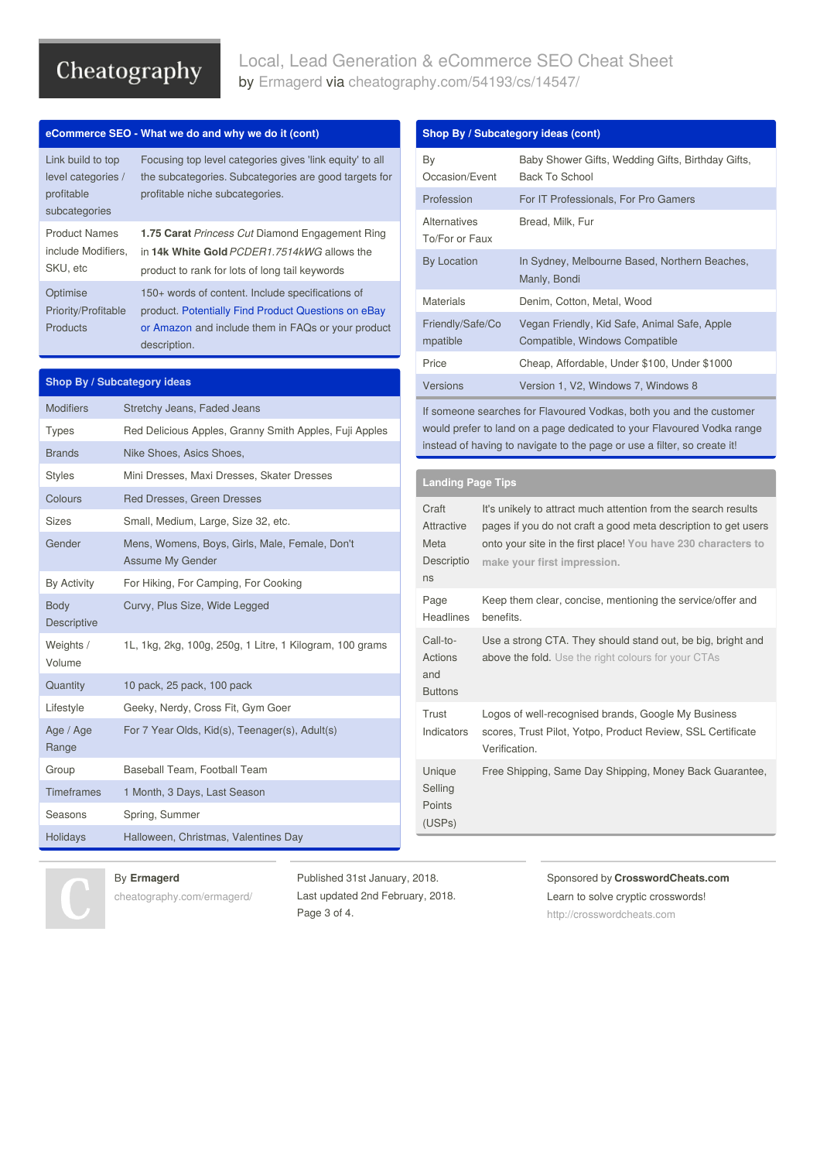### Local, Lead Generation & eCommerce SEO Cheat Sheet by [Ermagerd](http://www.cheatography.com/ermagerd/) via [cheatography.com/54193/cs/14547/](http://www.cheatography.com/ermagerd/cheat-sheets/local-lead-generation-and-ecommerce-seo)

### **eCommerce SEO - What we do and why we do it (cont)**

| Link build to top<br>level categories /<br>profitable<br>subcategories | Focusing top level categories gives 'link equity' to all<br>the subcategories. Subcategories are good targets for<br>profitable niche subcategories.                          |
|------------------------------------------------------------------------|-------------------------------------------------------------------------------------------------------------------------------------------------------------------------------|
| <b>Product Names</b><br>include Modifiers.<br>SKU, etc                 | 1.75 Carat Princess Cut Diamond Engagement Ring<br>in 14k White Gold PCDER1.7514kWG allows the<br>product to rank for lots of long tail keywords                              |
| Optimise<br>Priority/Profitable<br>Products                            | 150+ words of content. Include specifications of<br>product. Potentially Find Product Questions on eBay<br>or Amazon and include them in FAQs or your product<br>description. |

### **Shop By / Subcategory ideas**

| <b>Modifiers</b>                  | Stretchy Jeans, Faded Jeans                                               |  |  |  |  |  |
|-----------------------------------|---------------------------------------------------------------------------|--|--|--|--|--|
| <b>Types</b>                      | Red Delicious Apples, Granny Smith Apples, Fuji Apples                    |  |  |  |  |  |
| <b>Brands</b>                     | Nike Shoes, Asics Shoes,                                                  |  |  |  |  |  |
| <b>Styles</b>                     | Mini Dresses, Maxi Dresses, Skater Dresses                                |  |  |  |  |  |
| Colours                           | Red Dresses, Green Dresses                                                |  |  |  |  |  |
| <b>Sizes</b>                      | Small, Medium, Large, Size 32, etc.                                       |  |  |  |  |  |
| Gender                            | Mens, Womens, Boys, Girls, Male, Female, Don't<br><b>Assume My Gender</b> |  |  |  |  |  |
| By Activity                       | For Hiking, For Camping, For Cooking                                      |  |  |  |  |  |
| <b>Body</b><br><b>Descriptive</b> | Curvy, Plus Size, Wide Legged                                             |  |  |  |  |  |
| Weights /<br>Volume               | 1L, 1kg, 2kg, 100g, 250g, 1 Litre, 1 Kilogram, 100 grams                  |  |  |  |  |  |
| Quantity                          | 10 pack, 25 pack, 100 pack                                                |  |  |  |  |  |
| Lifestyle                         | Geeky, Nerdy, Cross Fit, Gym Goer                                         |  |  |  |  |  |
| Age / Age<br>Range                | For 7 Year Olds, Kid(s), Teenager(s), Adult(s)                            |  |  |  |  |  |
| Group                             | Baseball Team, Football Team                                              |  |  |  |  |  |
| <b>Timeframes</b>                 | 1 Month, 3 Days, Last Season                                              |  |  |  |  |  |
| Seasons                           | Spring, Summer                                                            |  |  |  |  |  |
| Holidays                          | Halloween, Christmas, Valentines Day                                      |  |  |  |  |  |

#### **Shop By / Subcategory ideas (cont)** By Occasion/Event Baby Shower Gifts, Wedding Gifts, Birthday Gifts, Back To School Profession For IT Professionals, For Pro Gamers Alternatives To/For or Faux Bread, Milk, Fur By Location In Sydney, Melbourne Based, Northern Beaches, Manly, Bondi Materials Denim, Cotton, Metal, Wood Friendly/Safe/Co mpatible Vegan Friendly, Kid Safe, Animal Safe, Apple Compatible, Windows Compatible Price Cheap, Affordable, Under \$100, Under \$1000 Versions Version 1, V2, Windows 7, Windows 8 If someone searches for Flavoured Vodkas, both you and the customer would prefer to land on a page dedicated to your Flavoured Vodka range instead of having to navigate to the page or use a filter, so create it! **Landing Page Tips** Craft Attractive Meta Descriptio ns It's unikely to attract much attention from the search results pages if you do not craft a good meta description to get users onto your site in the first place! **You have 230 characters to make your first [impression.](https://searchengineland.com/google-officially-increases-length-snippets-search-results-287596)** Page Headlines Keep them clear, concise, mentioning the service/offer and benefits. Call-to-Actions and Use a strong CTA. They should stand out, be big, bright and above the fold. Use the right [colours](https://www.formstack.com/images/anatomy-colors.jpg) for your CTAs

**Trust** Indicators Logos of well-recognised brands, Google My Business scores, Trust Pilot, Yotpo, Product Review, SSL Certificate Verification. Unique Selling Points (USPs) Free Shipping, Same Day Shipping, Money Back Guarantee,

### By **Ermagerd**

[cheatography.com/ermagerd/](http://www.cheatography.com/ermagerd/)

Published 31st January, 2018. Last updated 2nd February, 2018. Page 3 of 4.

Buttons

Sponsored by **CrosswordCheats.com** Learn to solve cryptic crosswords! <http://crosswordcheats.com>